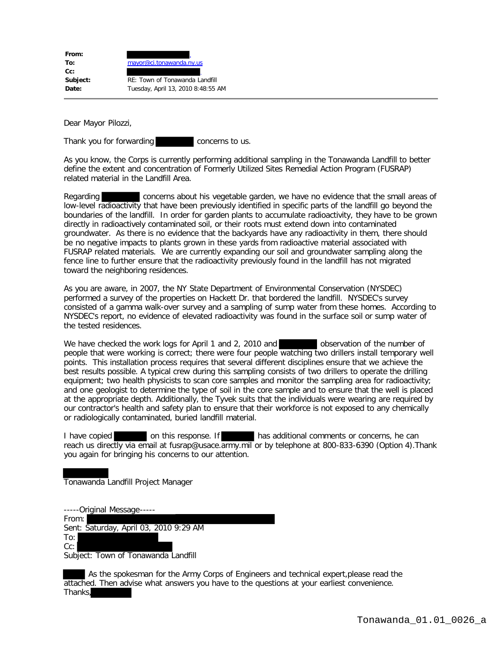| From:    |                                    |
|----------|------------------------------------|
| To:      | mayor@ci.tonawanda.ny.us           |
| $Cc$ :   |                                    |
| Subject: | RE: Town of Tonawanda Landfill     |
| Date:    | Tuesday, April 13, 2010 8:48:55 AM |
|          |                                    |

Dear Mayor Pilozzi,

Thank you for forwarding **concerns** to us.

As you know, the Corps is currently performing additional sampling in the Tonawanda Landfill to better define the extent and concentration of Formerly Utilized Sites Remedial Action Program (FUSRAP) related material in the Landfill Area.

Regarding concerns about his vegetable garden, we have no evidence that the small areas of low-level radioactivity that have been previously identified in specific parts of the landfill go beyond the boundaries of the landfill. In order for garden plants to accumulate radioactivity, they have to be grown directly in radioactively contaminated soil, or their roots must extend down into contaminated groundwater. As there is no evidence that the backyards have any radioactivity in them, there should be no negative impacts to plants grown in these yards from radioactive material associated with FUSRAP related materials. We are currently expanding our soil and groundwater sampling along the fence line to further ensure that the radioactivity previously found in the landfill has not migrated toward the neighboring residences.

As you are aware, in 2007, the NY State Department of Environmental Conservation (NYSDEC) performed a survey of the properties on Hackett Dr. that bordered the landfill. NYSDEC's survey consisted of a gamma walk-over survey and a sampling of sump water from these homes. According to NYSDEC's report, no evidence of elevated radioactivity was found in the surface soil or sump water of the tested residences.

We have checked the work logs for April 1 and 2, 2010 and observation of the number of people that were working is correct; there were four people watching two drillers install temporary well points. This installation process requires that several different disciplines ensure that we achieve the best results possible. A typical crew during this sampling consists of two drillers to operate the drilling equipment; two health physicists to scan core samples and monitor the sampling area for radioactivity; and one geologist to determine the type of soil in the core sample and to ensure that the well is placed at the appropriate depth. Additionally, the Tyvek suits that the individuals were wearing are required by our contractor's health and safety plan to ensure that their workforce is not exposed to any chemically or radiologically contaminated, buried landfill material.

I have copied on this response. If has additional comments or concerns, he can reach us directly via email at fusrap@usace.army.mil or by telephone at 800-833-6390 (Option 4). Thank you again for bringing his concerns to our attention.

Tonawanda Landfill Project Manager

-----Original Message----- From: Sent: Saturday, April 03, 2010 9:29 AM To: Cc: Subject: Town of Tonawanda Landfill

 As the spokesman for the Army Corps of Engineers and technical expert,please read the attached. Then advise what answers you have to the questions at your earliest convenience. Thanks,